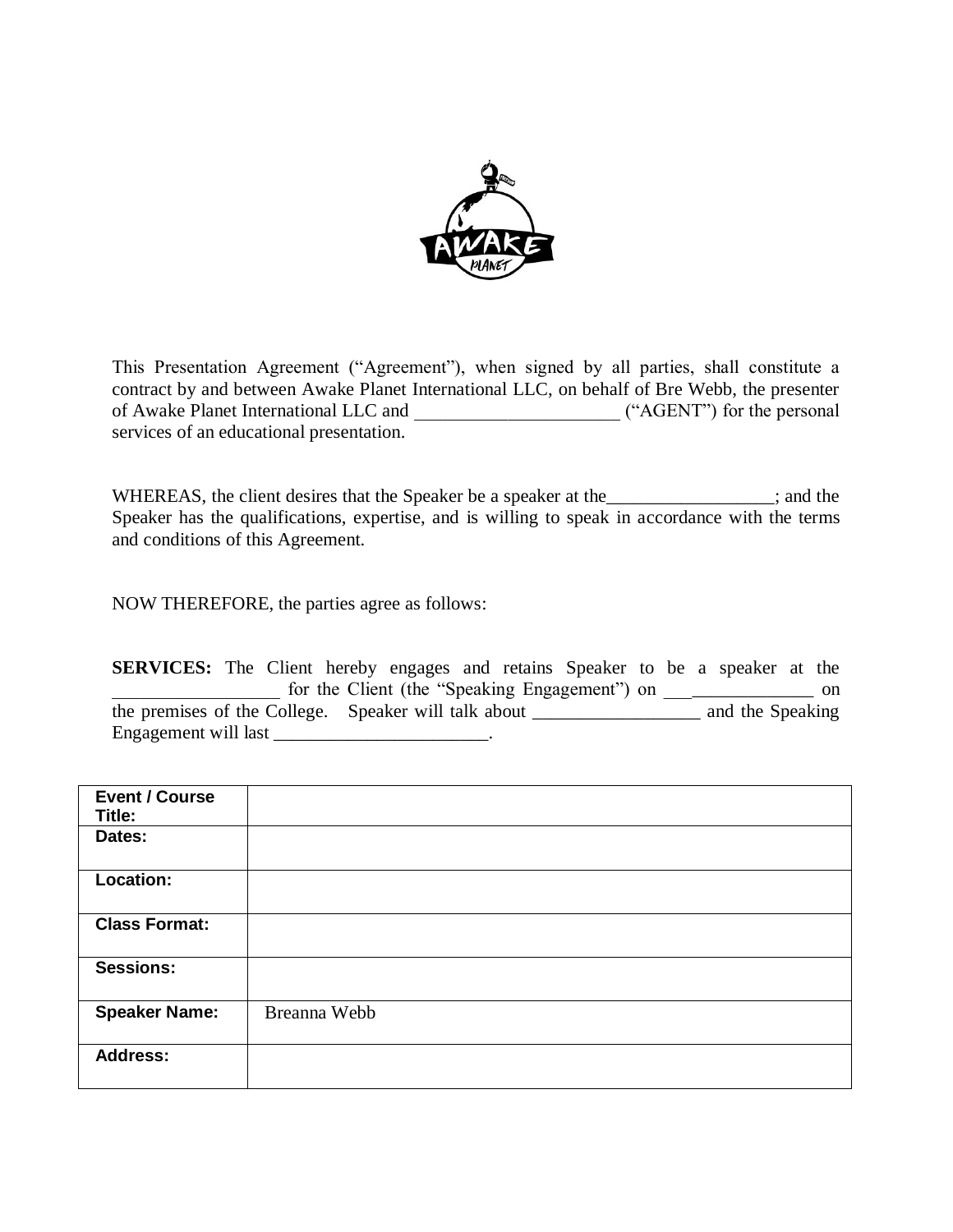

This Presentation Agreement ("Agreement"), when signed by all parties, shall constitute a contract by and between Awake Planet International LLC, on behalf of Bre Webb, the presenter of Awake Planet International LLC and \_\_\_\_\_\_\_\_\_\_\_\_\_\_\_\_\_\_\_\_\_\_ ("AGENT") for the personal services of an educational presentation.

WHEREAS, the client desires that the Speaker be a speaker at the \_\_\_\_\_\_\_\_\_\_\_\_\_\_; and the Speaker has the qualifications, expertise, and is willing to speak in accordance with the terms and conditions of this Agreement.

NOW THEREFORE, the parties agree as follows:

**SERVICES:** The Client hereby engages and retains Speaker to be a speaker at the for the Client (the "Speaking Engagement") on \_\_\_\_\_\_\_\_\_\_\_\_\_\_ on the premises of the College. Speaker will talk about \_\_\_\_\_\_\_\_\_\_\_\_\_\_\_\_\_\_ and the Speaking Engagement will last \_\_\_\_\_\_\_\_\_\_\_\_\_\_\_\_\_\_\_\_\_\_\_\_\_\_.

| <b>Event / Course</b><br>Title: |              |
|---------------------------------|--------------|
| Dates:                          |              |
| <b>Location:</b>                |              |
| <b>Class Format:</b>            |              |
| <b>Sessions:</b>                |              |
| <b>Speaker Name:</b>            | Breanna Webb |
| <b>Address:</b>                 |              |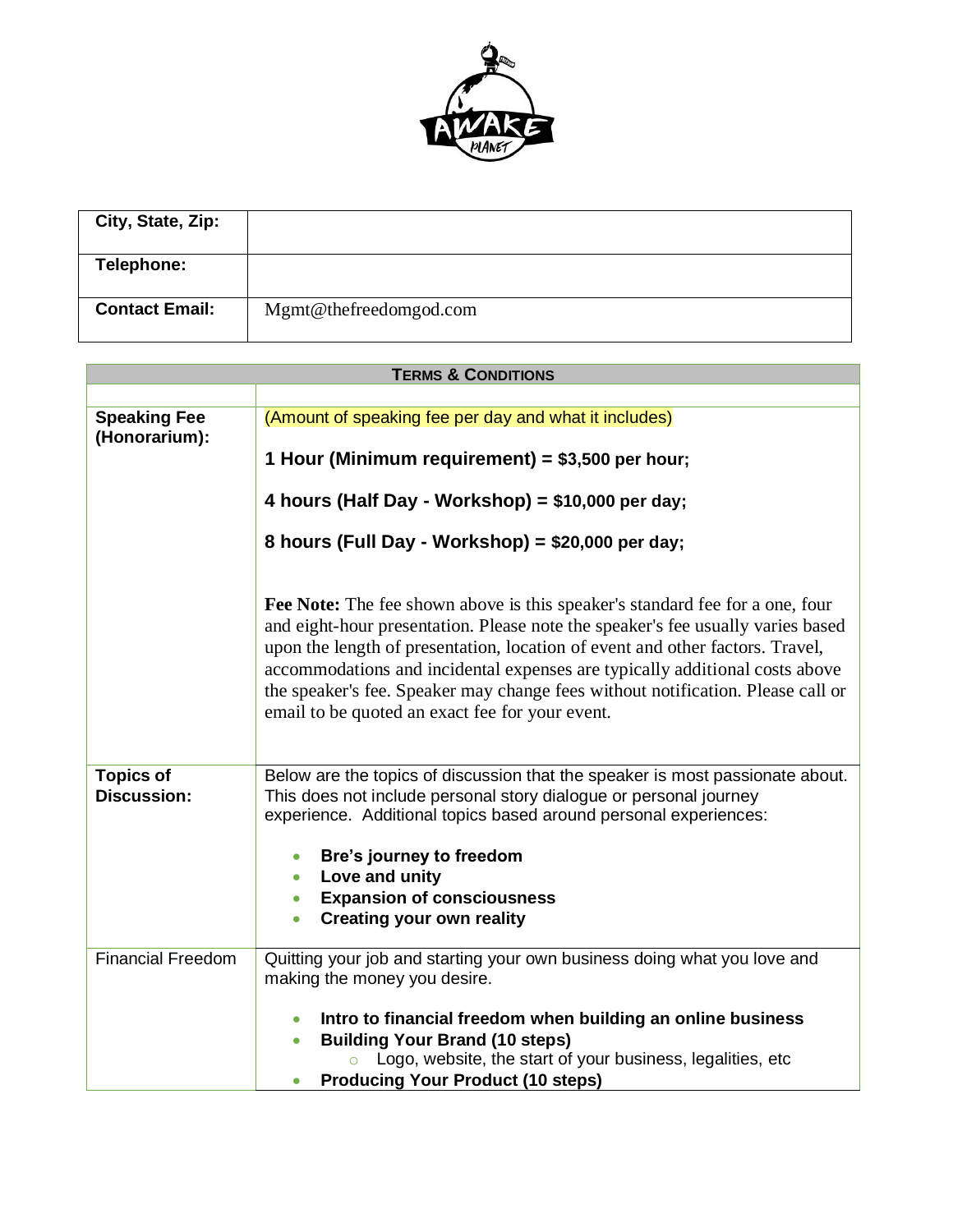

| City, State, Zip:     |                        |
|-----------------------|------------------------|
| Telephone:            |                        |
| <b>Contact Email:</b> | Mgmt@thefreedomgod.com |

| <b>TERMS &amp; CONDITIONS</b>          |                                                                                                                                                                                                                                                                                                                                                                                                                                                                              |  |
|----------------------------------------|------------------------------------------------------------------------------------------------------------------------------------------------------------------------------------------------------------------------------------------------------------------------------------------------------------------------------------------------------------------------------------------------------------------------------------------------------------------------------|--|
|                                        |                                                                                                                                                                                                                                                                                                                                                                                                                                                                              |  |
| <b>Speaking Fee</b><br>(Honorarium):   | (Amount of speaking fee per day and what it includes)                                                                                                                                                                                                                                                                                                                                                                                                                        |  |
|                                        | 1 Hour (Minimum requirement) = \$3,500 per hour;                                                                                                                                                                                                                                                                                                                                                                                                                             |  |
|                                        | 4 hours (Half Day - Workshop) = \$10,000 per day;                                                                                                                                                                                                                                                                                                                                                                                                                            |  |
|                                        | 8 hours (Full Day - Workshop) = \$20,000 per day;                                                                                                                                                                                                                                                                                                                                                                                                                            |  |
|                                        | <b>Fee Note:</b> The fee shown above is this speaker's standard fee for a one, four<br>and eight-hour presentation. Please note the speaker's fee usually varies based<br>upon the length of presentation, location of event and other factors. Travel,<br>accommodations and incidental expenses are typically additional costs above<br>the speaker's fee. Speaker may change fees without notification. Please call or<br>email to be quoted an exact fee for your event. |  |
| <b>Topics of</b><br><b>Discussion:</b> | Below are the topics of discussion that the speaker is most passionate about.<br>This does not include personal story dialogue or personal journey<br>experience. Additional topics based around personal experiences:<br>Bre's journey to freedom<br>Love and unity<br>$\bullet$<br><b>Expansion of consciousness</b><br>$\bullet$<br><b>Creating your own reality</b><br>$\bullet$                                                                                         |  |
| <b>Financial Freedom</b>               | Quitting your job and starting your own business doing what you love and<br>making the money you desire.                                                                                                                                                                                                                                                                                                                                                                     |  |
|                                        | Intro to financial freedom when building an online business<br><b>Building Your Brand (10 steps)</b><br>$\bullet$<br>Logo, website, the start of your business, legalities, etc<br><b>Producing Your Product (10 steps)</b>                                                                                                                                                                                                                                                  |  |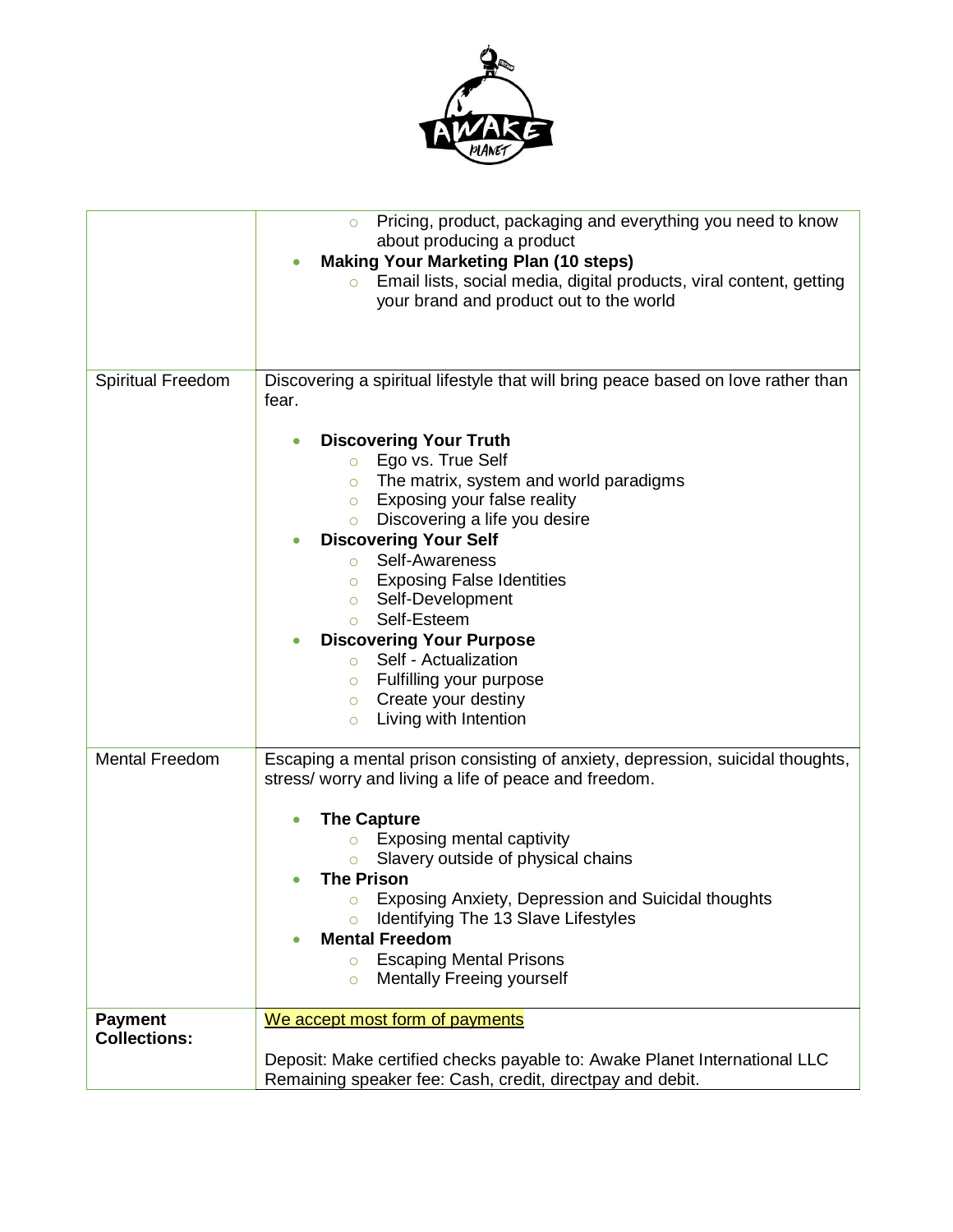

|                                       | Pricing, product, packaging and everything you need to know<br>about producing a product<br><b>Making Your Marketing Plan (10 steps)</b><br>Email lists, social media, digital products, viral content, getting<br>your brand and product out to the world                                                                                                                                                                                                                                                                                                                                |  |  |  |
|---------------------------------------|-------------------------------------------------------------------------------------------------------------------------------------------------------------------------------------------------------------------------------------------------------------------------------------------------------------------------------------------------------------------------------------------------------------------------------------------------------------------------------------------------------------------------------------------------------------------------------------------|--|--|--|
| Spiritual Freedom                     | Discovering a spiritual lifestyle that will bring peace based on love rather than<br>fear.                                                                                                                                                                                                                                                                                                                                                                                                                                                                                                |  |  |  |
|                                       | <b>Discovering Your Truth</b><br>$\bullet$<br>Ego vs. True Self<br>$\circ$<br>The matrix, system and world paradigms<br>$\circ$<br>Exposing your false reality<br>$\circ$<br>Discovering a life you desire<br>$\circ$<br><b>Discovering Your Self</b><br>$\bullet$<br>Self-Awareness<br>$\circ$<br><b>Exposing False Identities</b><br>$\circ$<br>Self-Development<br>$\circ$<br>Self-Esteem<br>$\circ$<br><b>Discovering Your Purpose</b><br>Self - Actualization<br>$\circ$<br>Fulfilling your purpose<br>$\circ$<br>Create your destiny<br>$\circ$<br>Living with Intention<br>$\circ$ |  |  |  |
| <b>Mental Freedom</b>                 | Escaping a mental prison consisting of anxiety, depression, suicidal thoughts,<br>stress/ worry and living a life of peace and freedom.<br><b>The Capture</b><br><b>Exposing mental captivity</b><br>$\circ$<br>Slavery outside of physical chains<br>$\circ$<br><b>The Prison</b><br><b>Exposing Anxiety, Depression and Suicidal thoughts</b><br>O<br>Identifying The 13 Slave Lifestyles<br><b>Mental Freedom</b><br><b>Escaping Mental Prisons</b><br>$\circ$<br><b>Mentally Freeing yourself</b><br>$\circ$                                                                          |  |  |  |
| <b>Payment</b><br><b>Collections:</b> | We accept most form of payments<br>Deposit: Make certified checks payable to: Awake Planet International LLC<br>Remaining speaker fee: Cash, credit, directpay and debit.                                                                                                                                                                                                                                                                                                                                                                                                                 |  |  |  |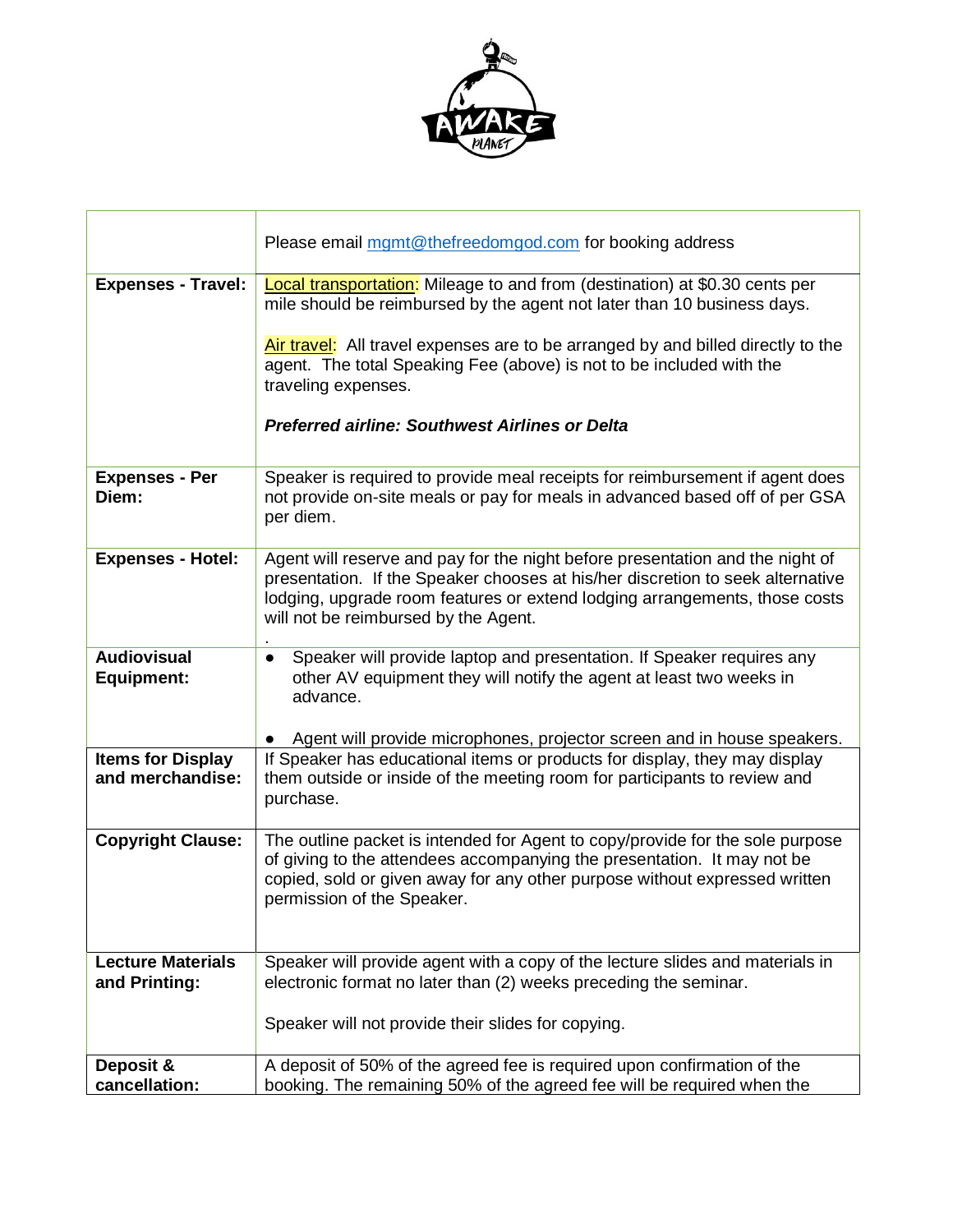

|                                              | Please email mgmt@thefreedomgod.com for booking address                                                                                                                                                                                                                                                                                                                                            |  |  |
|----------------------------------------------|----------------------------------------------------------------------------------------------------------------------------------------------------------------------------------------------------------------------------------------------------------------------------------------------------------------------------------------------------------------------------------------------------|--|--|
| <b>Expenses - Travel:</b>                    | Local transportation: Mileage to and from (destination) at \$0.30 cents per<br>mile should be reimbursed by the agent not later than 10 business days.<br>Air travel: All travel expenses are to be arranged by and billed directly to the<br>agent. The total Speaking Fee (above) is not to be included with the<br>traveling expenses.<br><b>Preferred airline: Southwest Airlines or Delta</b> |  |  |
| <b>Expenses - Per</b><br>Diem:               | Speaker is required to provide meal receipts for reimbursement if agent does<br>not provide on-site meals or pay for meals in advanced based off of per GSA<br>per diem.                                                                                                                                                                                                                           |  |  |
| <b>Expenses - Hotel:</b>                     | Agent will reserve and pay for the night before presentation and the night of<br>presentation. If the Speaker chooses at his/her discretion to seek alternative<br>lodging, upgrade room features or extend lodging arrangements, those costs<br>will not be reimbursed by the Agent.                                                                                                              |  |  |
| <b>Audiovisual</b><br><b>Equipment:</b>      | Speaker will provide laptop and presentation. If Speaker requires any<br>$\bullet$<br>other AV equipment they will notify the agent at least two weeks in<br>advance.                                                                                                                                                                                                                              |  |  |
|                                              | Agent will provide microphones, projector screen and in house speakers.                                                                                                                                                                                                                                                                                                                            |  |  |
| <b>Items for Display</b><br>and merchandise: | If Speaker has educational items or products for display, they may display<br>them outside or inside of the meeting room for participants to review and<br>purchase.                                                                                                                                                                                                                               |  |  |
| <b>Copyright Clause:</b>                     | The outline packet is intended for Agent to copy/provide for the sole purpose<br>of giving to the attendees accompanying the presentation. It may not be<br>copied, sold or given away for any other purpose without expressed written<br>permission of the Speaker.                                                                                                                               |  |  |
| <b>Lecture Materials</b><br>and Printing:    | Speaker will provide agent with a copy of the lecture slides and materials in<br>electronic format no later than (2) weeks preceding the seminar.                                                                                                                                                                                                                                                  |  |  |
|                                              | Speaker will not provide their slides for copying.                                                                                                                                                                                                                                                                                                                                                 |  |  |
| Deposit &                                    | A deposit of 50% of the agreed fee is required upon confirmation of the                                                                                                                                                                                                                                                                                                                            |  |  |
| cancellation:                                | booking. The remaining 50% of the agreed fee will be required when the                                                                                                                                                                                                                                                                                                                             |  |  |